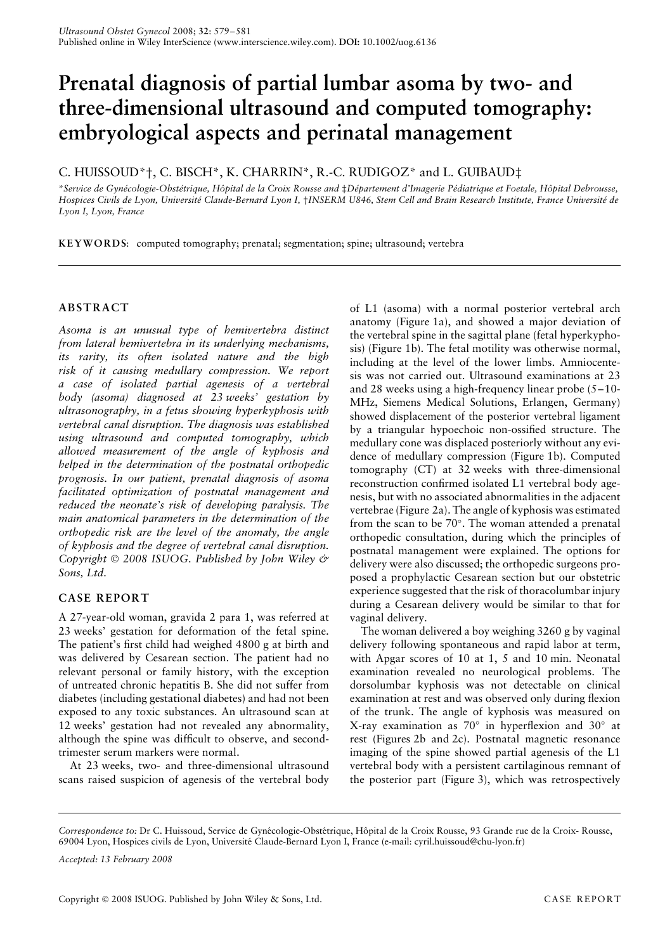# **Prenatal diagnosis of partial lumbar asoma by two- and three-dimensional ultrasound and computed tomography: embryological aspects and perinatal management**

## C. HUISSOUD\*†, C. BISCH\*, K. CHARRIN\*, R.-C. RUDIGOZ\* and L. GUIBAUD‡

\*Service de Gynécologie-Obstétrique, Hôpital de la Croix Rousse and ‡Département d'Imagerie Pédiatrique et Foetale, Hôpital Debrousse, *Hospices Civils de Lyon, Universite Claude-Bernard Lyon I, ´* †*INSERM U846, Stem Cell and Brain Research Institute, France Universite de ´ Lyon I, Lyon, France*

**KEYWORDS**: computed tomography; prenatal; segmentation; spine; ultrasound; vertebra

## **ABSTRACT**

*Asoma is an unusual type of hemivertebra distinct from lateral hemivertebra in its underlying mechanisms, its rarity, its often isolated nature and the high risk of it causing medullary compression. We report a case of isolated partial agenesis of a vertebral body (asoma) diagnosed at 23 weeks' gestation by ultrasonography, in a fetus showing hyperkyphosis with vertebral canal disruption. The diagnosis was established using ultrasound and computed tomography, which allowed measurement of the angle of kyphosis and helped in the determination of the postnatal orthopedic prognosis. In our patient, prenatal diagnosis of asoma facilitated optimization of postnatal management and reduced the neonate's risk of developing paralysis. The main anatomical parameters in the determination of the orthopedic risk are the level of the anomaly, the angle of kyphosis and the degree of vertebral canal disruption. Copyright 2008 ISUOG. Published by John Wiley & Sons, Ltd.*

## **CASE REPORT**

A 27-year-old woman, gravida 2 para 1, was referred at 23 weeks' gestation for deformation of the fetal spine. The patient's first child had weighed 4800 g at birth and was delivered by Cesarean section. The patient had no relevant personal or family history, with the exception of untreated chronic hepatitis B. She did not suffer from diabetes (including gestational diabetes) and had not been exposed to any toxic substances. An ultrasound scan at 12 weeks' gestation had not revealed any abnormality, although the spine was difficult to observe, and secondtrimester serum markers were normal.

At 23 weeks, two- and three-dimensional ultrasound scans raised suspicion of agenesis of the vertebral body

of L1 (asoma) with a normal posterior vertebral arch anatomy (Figure 1a), and showed a major deviation of the vertebral spine in the sagittal plane (fetal hyperkyphosis) (Figure 1b). The fetal motility was otherwise normal, including at the level of the lower limbs. Amniocentesis was not carried out. Ultrasound examinations at 23 and 28 weeks using a high-frequency linear probe (5–10- MHz, Siemens Medical Solutions, Erlangen, Germany) showed displacement of the posterior vertebral ligament by a triangular hypoechoic non-ossified structure. The medullary cone was displaced posteriorly without any evidence of medullary compression (Figure 1b). Computed tomography (CT) at 32 weeks with three-dimensional reconstruction confirmed isolated L1 vertebral body agenesis, but with no associated abnormalities in the adjacent vertebrae (Figure 2a). The angle of kyphosis was estimated from the scan to be 70◦. The woman attended a prenatal orthopedic consultation, during which the principles of postnatal management were explained. The options for delivery were also discussed; the orthopedic surgeons proposed a prophylactic Cesarean section but our obstetric experience suggested that the risk of thoracolumbar injury during a Cesarean delivery would be similar to that for vaginal delivery.

The woman delivered a boy weighing 3260 g by vaginal delivery following spontaneous and rapid labor at term, with Apgar scores of 10 at 1, 5 and 10 min. Neonatal examination revealed no neurological problems. The dorsolumbar kyphosis was not detectable on clinical examination at rest and was observed only during flexion of the trunk. The angle of kyphosis was measured on X-ray examination as 70◦ in hyperflexion and 30◦ at rest (Figures 2b and 2c). Postnatal magnetic resonance imaging of the spine showed partial agenesis of the L1 vertebral body with a persistent cartilaginous remnant of the posterior part (Figure 3), which was retrospectively

Correspondence to: Dr C. Huissoud, Service de Gynécologie-Obstétrique, Hôpital de la Croix Rousse, 93 Grande rue de la Croix- Rousse, 69004 Lyon, Hospices civils de Lyon, Université Claude-Bernard Lyon I, France (e-mail: cyril.huissoud@chu-lyon.fr)

*Accepted: 13 February 2008*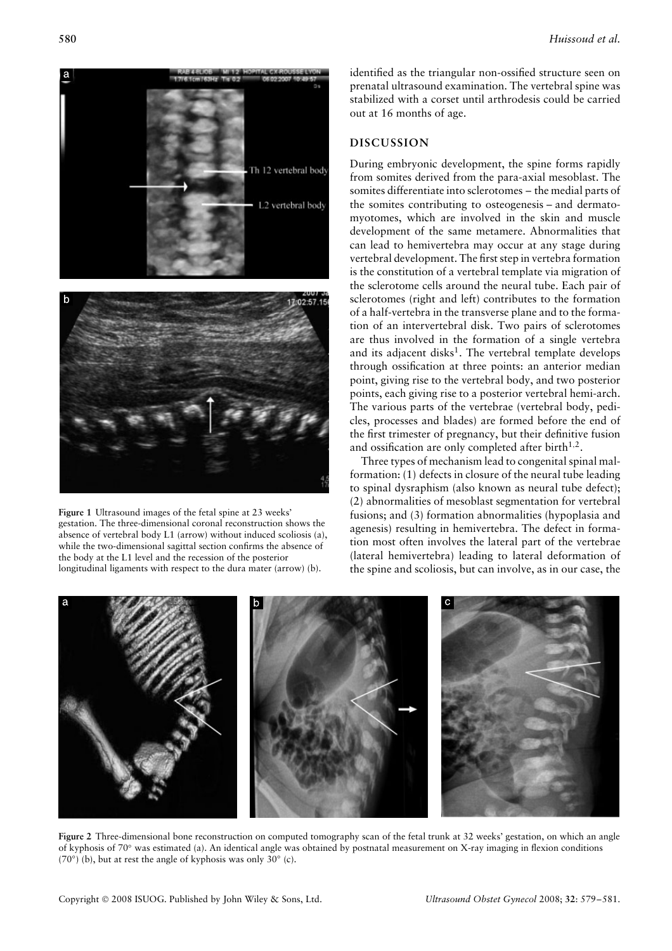

**Figure 1** Ultrasound images of the fetal spine at 23 weeks' gestation. The three-dimensional coronal reconstruction shows the absence of vertebral body L1 (arrow) without induced scoliosis (a), while the two-dimensional sagittal section confirms the absence of the body at the L1 level and the recession of the posterior longitudinal ligaments with respect to the dura mater (arrow) (b).

identified as the triangular non-ossified structure seen on prenatal ultrasound examination. The vertebral spine was stabilized with a corset until arthrodesis could be carried out at 16 months of age.

#### **DISCUSSION**

During embryonic development, the spine forms rapidly from somites derived from the para-axial mesoblast. The somites differentiate into sclerotomes – the medial parts of the somites contributing to osteogenesis – and dermatomyotomes, which are involved in the skin and muscle development of the same metamere. Abnormalities that can lead to hemivertebra may occur at any stage during vertebral development. The first step in vertebra formation is the constitution of a vertebral template via migration of the sclerotome cells around the neural tube. Each pair of sclerotomes (right and left) contributes to the formation of a half-vertebra in the transverse plane and to the formation of an intervertebral disk. Two pairs of sclerotomes are thus involved in the formation of a single vertebra and its adjacent disks<sup>1</sup>. The vertebral template develops through ossification at three points: an anterior median point, giving rise to the vertebral body, and two posterior points, each giving rise to a posterior vertebral hemi-arch. The various parts of the vertebrae (vertebral body, pedicles, processes and blades) are formed before the end of the first trimester of pregnancy, but their definitive fusion and ossification are only completed after birth<sup>1,2</sup>.

Three types of mechanism lead to congenital spinal malformation: (1) defects in closure of the neural tube leading to spinal dysraphism (also known as neural tube defect); (2) abnormalities of mesoblast segmentation for vertebral fusions; and (3) formation abnormalities (hypoplasia and agenesis) resulting in hemivertebra. The defect in formation most often involves the lateral part of the vertebrae (lateral hemivertebra) leading to lateral deformation of the spine and scoliosis, but can involve, as in our case, the



**Figure 2** Three-dimensional bone reconstruction on computed tomography scan of the fetal trunk at 32 weeks' gestation, on which an angle of kyphosis of 70◦ was estimated (a). An identical angle was obtained by postnatal measurement on X-ray imaging in flexion conditions (70°) (b), but at rest the angle of kyphosis was only 30 $\degree$  (c).